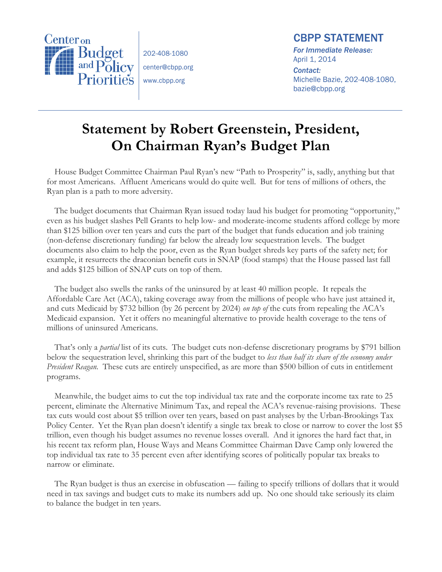

202-408-1080 center@cbpp.org www.cbpp.org

## CBPP STATEMENT

*For Immediate Release:*  April 1, 2014

*Contact:*  Michelle Bazie, 202-408-1080, bazie@cbpp.org

# **Statement by Robert Greenstein, President, On Chairman Ryan's Budget Plan**

House Budget Committee Chairman Paul Ryan's new "Path to Prosperity" is, sadly, anything but that for most Americans. Affluent Americans would do quite well. But for tens of millions of others, the Ryan plan is a path to more adversity.

The budget documents that Chairman Ryan issued today laud his budget for promoting "opportunity," even as his budget slashes Pell Grants to help low- and moderate-income students afford college by more than \$125 billion over ten years and cuts the part of the budget that funds education and job training (non-defense discretionary funding) far below the already low sequestration levels. The budget documents also claim to help the poor, even as the Ryan budget shreds key parts of the safety net; for example, it resurrects the draconian benefit cuts in SNAP (food stamps) that the House passed last fall and adds \$125 billion of SNAP cuts on top of them.

The budget also swells the ranks of the uninsured by at least 40 million people. It repeals the Affordable Care Act (ACA), taking coverage away from the millions of people who have just attained it, and cuts Medicaid by \$732 billion (by 26 percent by 2024) *on top of* the cuts from repealing the ACA's Medicaid expansion. Yet it offers no meaningful alternative to provide health coverage to the tens of millions of uninsured Americans.

That's only a *partial* list of its cuts. The budget cuts non-defense discretionary programs by \$791 billion below the sequestration level, shrinking this part of the budget to *less than half its share of the economy under President Reagan.* These cuts are entirely unspecified, as are more than \$500 billion of cuts in entitlement programs.

Meanwhile, the budget aims to cut the top individual tax rate and the corporate income tax rate to 25 percent, eliminate the Alternative Minimum Tax, and repeal the ACA's revenue-raising provisions. These tax cuts would cost about \$5 trillion over ten years, based on past analyses by the Urban-Brookings Tax Policy Center. Yet the Ryan plan doesn't identify a single tax break to close or narrow to cover the lost \$5 trillion, even though his budget assumes no revenue losses overall. And it ignores the hard fact that, in his recent tax reform plan, House Ways and Means Committee Chairman Dave Camp only lowered the top individual tax rate to 35 percent even after identifying scores of politically popular tax breaks to narrow or eliminate.

The Ryan budget is thus an exercise in obfuscation — failing to specify trillions of dollars that it would need in tax savings and budget cuts to make its numbers add up. No one should take seriously its claim to balance the budget in ten years.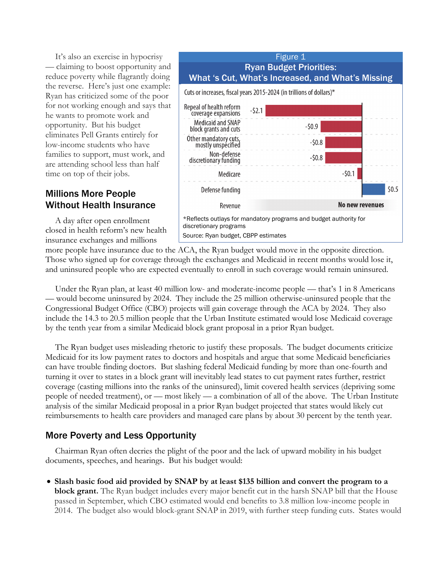It's also an exercise in hypocrisy — claiming to boost opportunity and reduce poverty while flagrantly doing the reverse. Here's just one example: Ryan has criticized some of the poor for not working enough and says that he wants to promote work and opportunity. But his budget eliminates Pell Grants entirely for low-income students who have families to support, must work, and are attending school less than half time on top of their jobs.

### Millions More People Without Health Insurance

A day after open enrollment closed in health reform's new health insurance exchanges and millions



more people have insurance due to the ACA, the Ryan budget would move in the opposite direction. Those who signed up for coverage through the exchanges and Medicaid in recent months would lose it, and uninsured people who are expected eventually to enroll in such coverage would remain uninsured.

Under the Ryan plan, at least 40 million low- and moderate-income people — that's 1 in 8 Americans — would become uninsured by 2024. They include the 25 million otherwise-uninsured people that the Congressional Budget Office (CBO) projects will gain coverage through the ACA by 2024. They also include the 14.3 to 20.5 million people that the Urban Institute estimated would lose Medicaid coverage by the tenth year from a similar Medicaid block grant proposal in a prior Ryan budget.

The Ryan budget uses misleading rhetoric to justify these proposals. The budget documents criticize Medicaid for its low payment rates to doctors and hospitals and argue that some Medicaid beneficiaries can have trouble finding doctors. But slashing federal Medicaid funding by more than one-fourth and turning it over to states in a block grant will inevitably lead states to cut payment rates further, restrict coverage (casting millions into the ranks of the uninsured), limit covered health services (depriving some people of needed treatment), or — most likely — a combination of all of the above. The Urban Institute analysis of the similar Medicaid proposal in a prior Ryan budget projected that states would likely cut reimbursements to health care providers and managed care plans by about 30 percent by the tenth year.

#### More Poverty and Less Opportunity

Chairman Ryan often decries the plight of the poor and the lack of upward mobility in his budget documents, speeches, and hearings. But his budget would:

 **Slash basic food aid provided by SNAP by at least \$135 billion and convert the program to a block grant.** The Ryan budget includes every major benefit cut in the harsh SNAP bill that the House passed in September, which CBO estimated would end benefits to 3.8 million low-income people in 2014. The budget also would block-grant SNAP in 2019, with further steep funding cuts. States would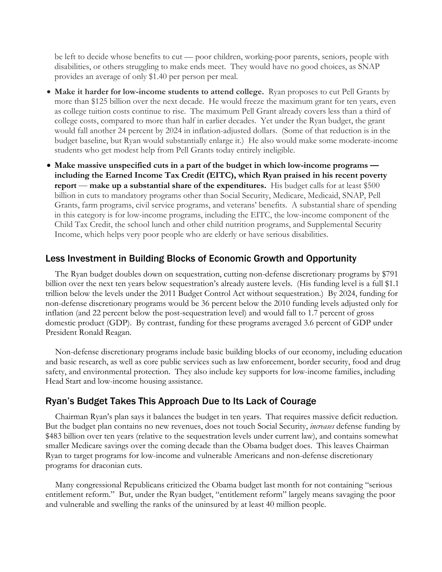be left to decide whose benefits to cut — poor children, working-poor parents, seniors, people with disabilities, or others struggling to make ends meet. They would have no good choices, as SNAP provides an average of only \$1.40 per person per meal.

- **Make it harder for low-income students to attend college.** Ryan proposes to cut Pell Grants by more than \$125 billion over the next decade. He would freeze the maximum grant for ten years, even as college tuition costs continue to rise. The maximum Pell Grant already covers less than a third of college costs, compared to more than half in earlier decades. Yet under the Ryan budget, the grant would fall another 24 percent by 2024 in inflation-adjusted dollars. (Some of that reduction is in the budget baseline, but Ryan would substantially enlarge it.) He also would make some moderate-income students who get modest help from Pell Grants today entirely ineligible.
- **Make massive unspecified cuts in a part of the budget in which low-income programs including the Earned Income Tax Credit (EITC), which Ryan praised in his recent poverty report — make up a substantial share of the expenditures.** His budget calls for at least \$500 billion in cuts to mandatory programs other than Social Security, Medicare, Medicaid, SNAP, Pell Grants, farm programs, civil service programs, and veterans' benefits. A substantial share of spending in this category is for low-income programs, including the EITC, the low-income component of the Child Tax Credit, the school lunch and other child nutrition programs, and Supplemental Security Income, which helps very poor people who are elderly or have serious disabilities.

#### Less Investment in Building Blocks of Economic Growth and Opportunity

The Ryan budget doubles down on sequestration, cutting non-defense discretionary programs by \$791 billion over the next ten years below sequestration's already austere levels. (His funding level is a full \$1.1 trillion below the levels under the 2011 Budget Control Act without sequestration.) By 2024, funding for non-defense discretionary programs would be 36 percent below the 2010 funding levels adjusted only for inflation (and 22 percent below the post-sequestration level) and would fall to 1.7 percent of gross domestic product (GDP). By contrast, funding for these programs averaged 3.6 percent of GDP under President Ronald Reagan.

Non-defense discretionary programs include basic building blocks of our economy, including education and basic research, as well as core public services such as law enforcement, border security, food and drug safety, and environmental protection. They also include key supports for low-income families, including Head Start and low-income housing assistance.

#### Ryan's Budget Takes This Approach Due to Its Lack of Courage

Chairman Ryan's plan says it balances the budget in ten years. That requires massive deficit reduction. But the budget plan contains no new revenues, does not touch Social Security, *increases* defense funding by \$483 billion over ten years (relative to the sequestration levels under current law), and contains somewhat smaller Medicare savings over the coming decade than the Obama budget does. This leaves Chairman Ryan to target programs for low-income and vulnerable Americans and non-defense discretionary programs for draconian cuts.

Many congressional Republicans criticized the Obama budget last month for not containing "serious entitlement reform." But, under the Ryan budget, "entitlement reform" largely means savaging the poor and vulnerable and swelling the ranks of the uninsured by at least 40 million people.